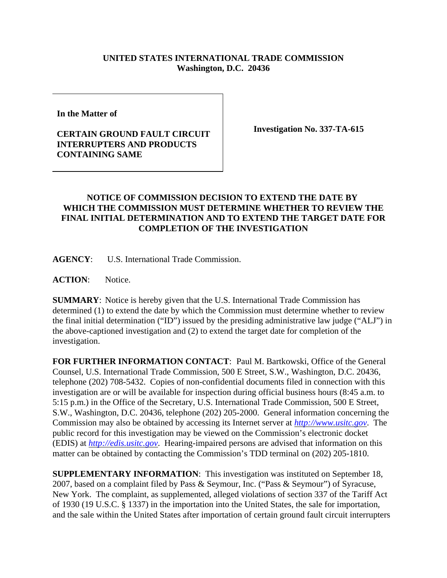## **UNITED STATES INTERNATIONAL TRADE COMMISSION Washington, D.C. 20436**

**In the Matter of** 

## **CERTAIN GROUND FAULT CIRCUIT INTERRUPTERS AND PRODUCTS CONTAINING SAME**

**Investigation No. 337-TA-615**

## **NOTICE OF COMMISSION DECISION TO EXTEND THE DATE BY WHICH THE COMMISSION MUST DETERMINE WHETHER TO REVIEW THE FINAL INITIAL DETERMINATION AND TO EXTEND THE TARGET DATE FOR COMPLETION OF THE INVESTIGATION**

**AGENCY**: U.S. International Trade Commission.

**ACTION**: Notice.

**SUMMARY**: Notice is hereby given that the U.S. International Trade Commission has determined (1) to extend the date by which the Commission must determine whether to review the final initial determination ("ID") issued by the presiding administrative law judge ("ALJ") in the above-captioned investigation and (2) to extend the target date for completion of the investigation.

**FOR FURTHER INFORMATION CONTACT**: Paul M. Bartkowski, Office of the General Counsel, U.S. International Trade Commission, 500 E Street, S.W., Washington, D.C. 20436, telephone (202) 708-5432. Copies of non-confidential documents filed in connection with this investigation are or will be available for inspection during official business hours (8:45 a.m. to 5:15 p.m.) in the Office of the Secretary, U.S. International Trade Commission, 500 E Street, S.W., Washington, D.C. 20436, telephone (202) 205-2000. General information concerning the Commission may also be obtained by accessing its Internet server at *http://www.usitc.gov*. The public record for this investigation may be viewed on the Commission's electronic docket (EDIS) at *http://edis.usitc.gov*. Hearing-impaired persons are advised that information on this matter can be obtained by contacting the Commission's TDD terminal on (202) 205-1810.

**SUPPLEMENTARY INFORMATION**: This investigation was instituted on September 18, 2007, based on a complaint filed by Pass & Seymour, Inc. ("Pass & Seymour") of Syracuse, New York. The complaint, as supplemented, alleged violations of section 337 of the Tariff Act of 1930 (19 U.S.C. § 1337) in the importation into the United States, the sale for importation, and the sale within the United States after importation of certain ground fault circuit interrupters